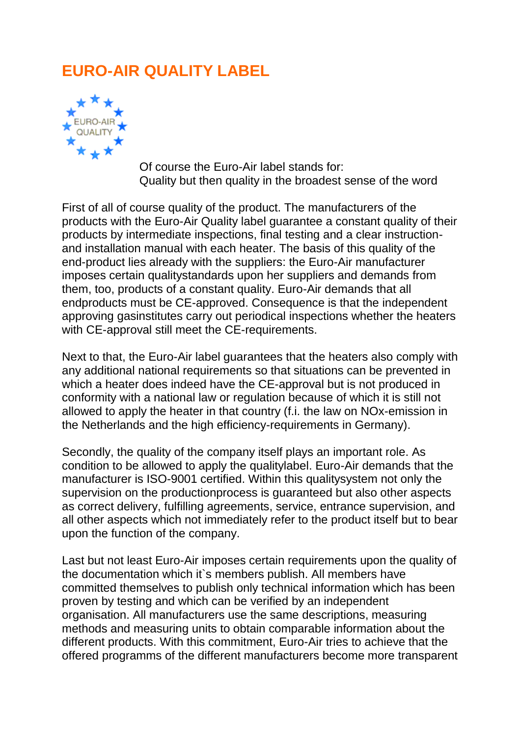## **EURO-AIR QUALITY LABEL**



Of course the Euro-Air label stands for: Quality but then quality in the broadest sense of the word

First of all of course quality of the product. The manufacturers of the products with the Euro-Air Quality label guarantee a constant quality of their products by intermediate inspections, final testing and a clear instructionand installation manual with each heater. The basis of this quality of the end-product lies already with the suppliers: the Euro-Air manufacturer imposes certain qualitystandards upon her suppliers and demands from them, too, products of a constant quality. Euro-Air demands that all endproducts must be CE-approved. Consequence is that the independent approving gasinstitutes carry out periodical inspections whether the heaters with CE-approval still meet the CE-requirements.

Next to that, the Euro-Air label guarantees that the heaters also comply with any additional national requirements so that situations can be prevented in which a heater does indeed have the CE-approval but is not produced in conformity with a national law or regulation because of which it is still not allowed to apply the heater in that country (f.i. the law on NOx-emission in the Netherlands and the high efficiency-requirements in Germany).

Secondly, the quality of the company itself plays an important role. As condition to be allowed to apply the qualitylabel. Euro-Air demands that the manufacturer is ISO-9001 certified. Within this qualitysystem not only the supervision on the productionprocess is guaranteed but also other aspects as correct delivery, fulfilling agreements, service, entrance supervision, and all other aspects which not immediately refer to the product itself but to bear upon the function of the company.

Last but not least Euro-Air imposes certain requirements upon the quality of the documentation which it`s members publish. All members have committed themselves to publish only technical information which has been proven by testing and which can be verified by an independent organisation. All manufacturers use the same descriptions, measuring methods and measuring units to obtain comparable information about the different products. With this commitment, Euro-Air tries to achieve that the offered programms of the different manufacturers become more transparent